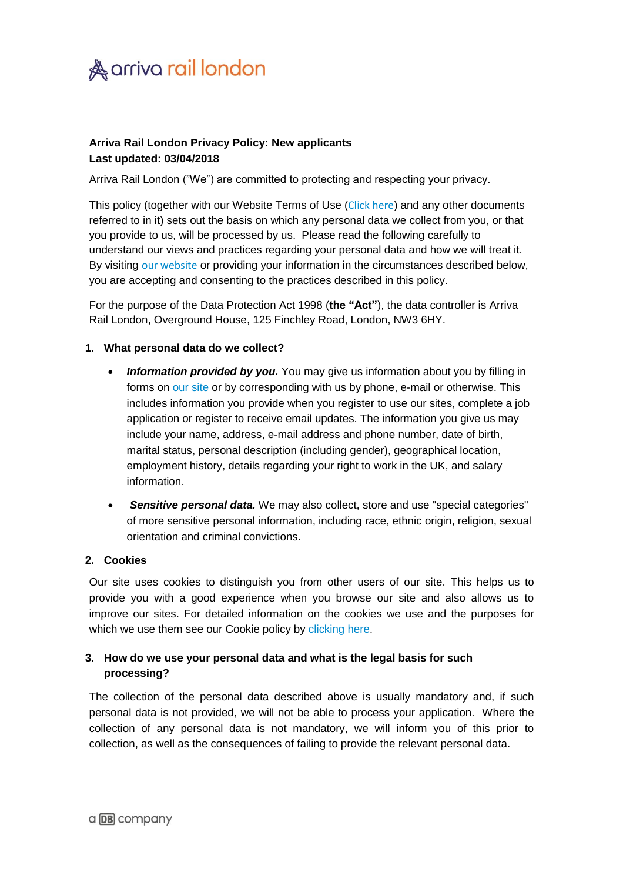

## **Arriva Rail London Privacy Policy: New applicants Last updated: 03/04/2018**

Arriva Rail London ("We") are committed to protecting and respecting your privacy.

This policy (together with our Website Terms of Use ([Click here](http://www.arrivaraillondon.co.uk/info/terms)) and any other documents referred to in it) sets out the basis on which any personal data we collect from you, or that you provide to us, will be processed by us. Please read the following carefully to understand our views and practices regarding your personal data and how we will treat it. By visiting [our website](http://www.arrivaraillondon.co.uk/) or providing your information in the circumstances described below, you are accepting and consenting to the practices described in this policy.

For the purpose of the Data Protection Act 1998 (**the "Act"**), the data controller is Arriva Rail London, Overground House, 125 Finchley Road, London, NW3 6HY.

### **1. What personal data do we collect?**

- **Information provided by you.** You may give us information about you by filling in forms on [our site](http://www.arrivaraillondon.co.uk/) or by corresponding with us by phone, e-mail or otherwise. This includes information you provide when you register to use our sites, complete a job application or register to receive email updates. The information you give us may include your name, address, e-mail address and phone number, date of birth, marital status, personal description (including gender), geographical location, employment history, details regarding your right to work in the UK, and salary information.
- *Sensitive personal data.* We may also collect, store and use "special categories" of more sensitive personal information, including race, ethnic origin, religion, sexual orientation and criminal convictions.

### **2. Cookies**

Our site uses cookies to distinguish you from other users of our site. This helps us to provide you with a good experience when you browse our site and also allows us to improve our sites. For detailed information on the cookies we use and the purposes for which we use them see our Cookie policy by [clicking here](http://www.arrivaraillondon.co.uk/info/privacy).

# **3. How do we use your personal data and what is the legal basis for such processing?**

The collection of the personal data described above is usually mandatory and, if such personal data is not provided, we will not be able to process your application. Where the collection of any personal data is not mandatory, we will inform you of this prior to collection, as well as the consequences of failing to provide the relevant personal data.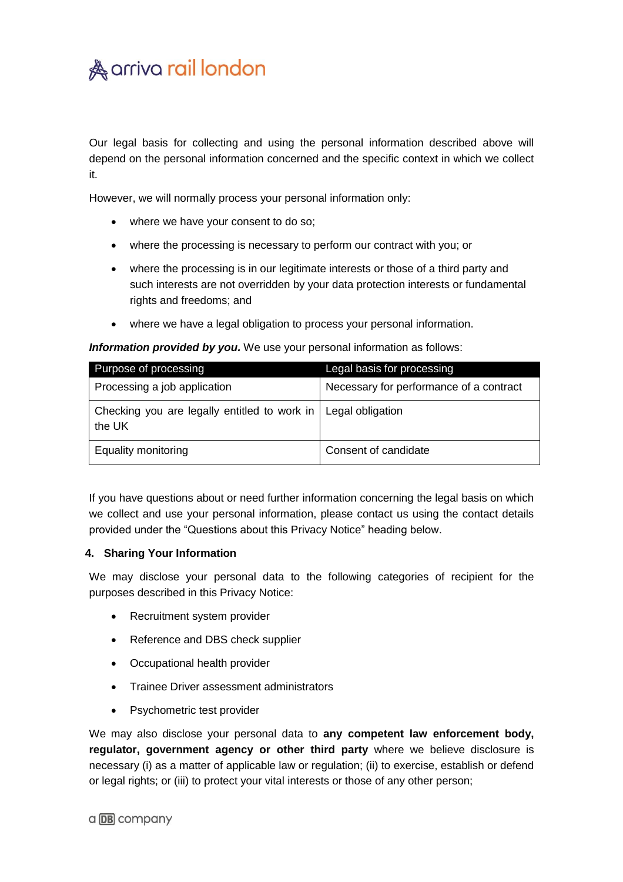

Our legal basis for collecting and using the personal information described above will depend on the personal information concerned and the specific context in which we collect it.

However, we will normally process your personal information only:

- where we have your consent to do so;
- where the processing is necessary to perform our contract with you; or
- where the processing is in our legitimate interests or those of a third party and such interests are not overridden by your data protection interests or fundamental rights and freedoms; and
- where we have a legal obligation to process your personal information.

#### *Information provided by you.* We use your personal information as follows:

| Purpose of processing                                                     | Legal basis for processing              |
|---------------------------------------------------------------------------|-----------------------------------------|
| Processing a job application                                              | Necessary for performance of a contract |
| Checking you are legally entitled to work in   Legal obligation<br>the UK |                                         |
| Equality monitoring                                                       | Consent of candidate                    |

If you have questions about or need further information concerning the legal basis on which we collect and use your personal information, please contact us using the contact details provided under the "Questions about this Privacy Notice" heading below.

#### **4. Sharing Your Information**

We may disclose your personal data to the following categories of recipient for the purposes described in this Privacy Notice:

- Recruitment system provider
- Reference and DBS check supplier
- Occupational health provider
- Trainee Driver assessment administrators
- Psychometric test provider

We may also disclose your personal data to **any competent law enforcement body, regulator, government agency or other third party** where we believe disclosure is necessary (i) as a matter of applicable law or regulation; (ii) to exercise, establish or defend or legal rights; or (iii) to protect your vital interests or those of any other person;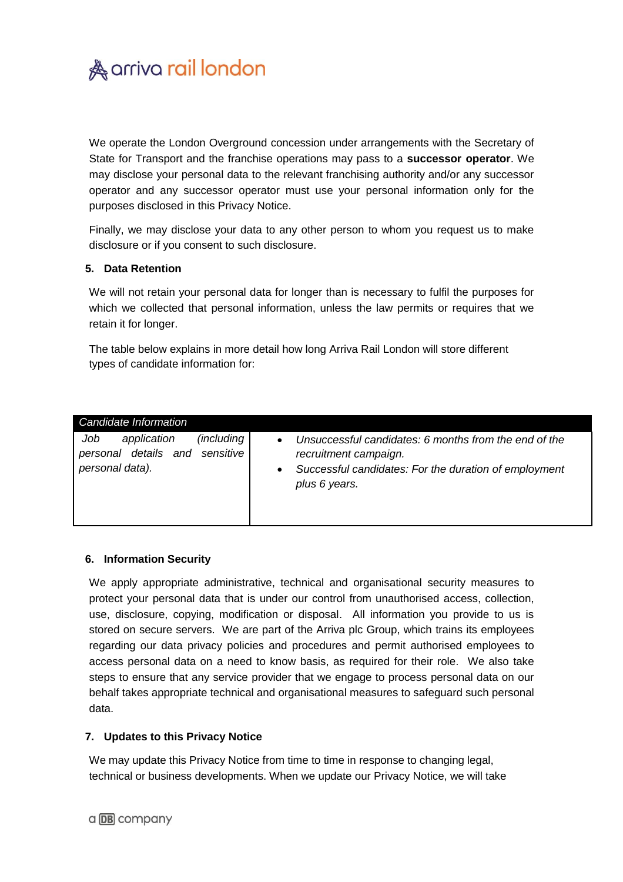

We operate the London Overground concession under arrangements with the Secretary of State for Transport and the franchise operations may pass to a **successor operator**. We may disclose your personal data to the relevant franchising authority and/or any successor operator and any successor operator must use your personal information only for the purposes disclosed in this Privacy Notice.

Finally, we may disclose your data to any other person to whom you request us to make disclosure or if you consent to such disclosure.

### **5. Data Retention**

We will not retain your personal data for longer than is necessary to fulfil the purposes for which we collected that personal information, unless the law permits or requires that we retain it for longer.

The table below explains in more detail how long Arriva Rail London will store different types of candidate information for:

| Candidate Information                                                                  |                                                                                                                                                                                    |
|----------------------------------------------------------------------------------------|------------------------------------------------------------------------------------------------------------------------------------------------------------------------------------|
| (including)<br>Job<br>application<br>personal details and sensitive<br>personal data). | Unsuccessful candidates: 6 months from the end of the<br>$\bullet$<br>recruitment campaign.<br>Successful candidates: For the duration of employment<br>$\bullet$<br>plus 6 years. |

### **6. Information Security**

We apply appropriate administrative, technical and organisational security measures to protect your personal data that is under our control from unauthorised access, collection, use, disclosure, copying, modification or disposal. All information you provide to us is stored on secure servers. We are part of the Arriva plc Group, which trains its employees regarding our data privacy policies and procedures and permit authorised employees to access personal data on a need to know basis, as required for their role. We also take steps to ensure that any service provider that we engage to process personal data on our behalf takes appropriate technical and organisational measures to safeguard such personal data.

### **7. Updates to this Privacy Notice**

We may update this Privacy Notice from time to time in response to changing legal, technical or business developments. When we update our Privacy Notice, we will take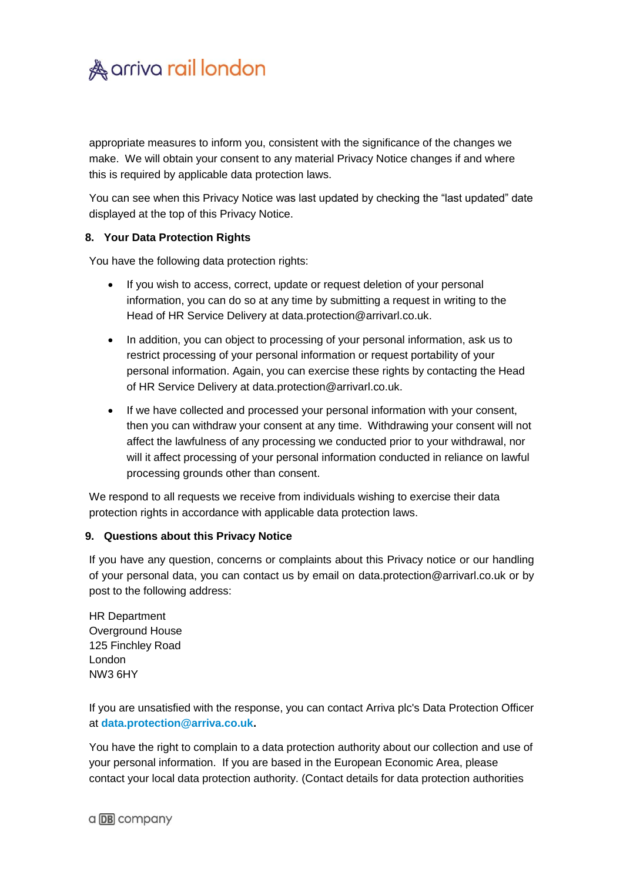

appropriate measures to inform you, consistent with the significance of the changes we make. We will obtain your consent to any material Privacy Notice changes if and where this is required by applicable data protection laws.

You can see when this Privacy Notice was last updated by checking the "last updated" date displayed at the top of this Privacy Notice.

### **8. Your Data Protection Rights**

You have the following data protection rights:

- If you wish to access, correct, update or request deletion of your personal information, you can do so at any time by submitting a request in writing to the Head of HR Service Delivery at data.protection@arrivarl.co.uk.
- In addition, you can object to processing of your personal information, ask us to restrict processing of your personal information or request portability of your personal information. Again, you can exercise these rights by contacting the Head of HR Service Delivery at data.protection@arrivarl.co.uk.
- If we have collected and processed your personal information with your consent, then you can withdraw your consent at any time. Withdrawing your consent will not affect the lawfulness of any processing we conducted prior to your withdrawal, nor will it affect processing of your personal information conducted in reliance on lawful processing grounds other than consent.

We respond to all requests we receive from individuals wishing to exercise their data protection rights in accordance with applicable data protection laws.

### **9. Questions about this Privacy Notice**

If you have any question, concerns or complaints about this Privacy notice or our handling of your personal data, you can contact us by email on data.protection@arrivarl.co.uk or by post to the following address:

HR Department Overground House 125 Finchley Road London NW3 6HY

If you are unsatisfied with the response, you can contact Arriva plc's Data Protection Officer at **[data.protection@arriva.co.uk.](mailto:data.protection@arriva.co.uk)** 

You have the right to complain to a data protection authority about our collection and use of your personal information. If you are based in the European Economic Area, please contact your local data protection authority. (Contact details for data protection authorities